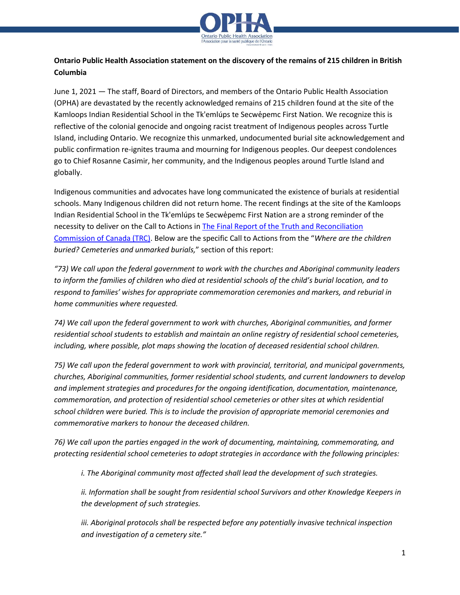

## **Ontario Public Health Association statement on the discovery of the remains of 215 children in British Columbia**

June 1, 2021 — The staff, Board of Directors, and members of the Ontario Public Health Association (OPHA) are devastated by the recently acknowledged remains of 215 children found at the site of the Kamloops Indian Residential School in the Tk'emlúps te Secwe̓pemc First Nation. We recognize this is reflective of the colonial genocide and ongoing racist treatment of Indigenous peoples across Turtle Island, including Ontario. We recognize this unmarked, undocumented burial site acknowledgement and public confirmation re-ignites trauma and mourning for Indigenous peoples. Our deepest condolences go to Chief Rosanne Casimir, her community, and the Indigenous peoples around Turtle Island and globally.

Indigenous communities and advocates have long communicated the existence of burials at residential schools. Many Indigenous children did not return home. The recent findings at the site of the Kamloops Indian Residential School in the Tk'emlúps te Secwe̓pemc First Nation are a strong reminder of the necessity to deliver on the Call to Actions in [The Final Report of the Truth and Reconciliation](http://www.trc.ca/about-us/trc-findings.html)  [Commission of Canada \(TRC\)](http://www.trc.ca/about-us/trc-findings.html). Below are the specific Call to Actions from the "*Where are the children buried? Cemeteries and unmarked burials,*" section of this report:

*"73) We call upon the federal government to work with the churches and Aboriginal community leaders to inform the families of children who died at residential schools of the child's burial location, and to respond to families' wishes for appropriate commemoration ceremonies and markers, and reburial in home communities where requested.*

*74) We call upon the federal government to work with churches, Aboriginal communities, and former residential school students to establish and maintain an online registry of residential school cemeteries, including, where possible, plot maps showing the location of deceased residential school children.* 

*75) We call upon the federal government to work with provincial, territorial, and municipal governments, churches, Aboriginal communities, former residential school students, and current landowners to develop and implement strategies and procedures for the ongoing identification, documentation, maintenance, commemoration, and protection of residential school cemeteries or other sites at which residential school children were buried. This is to include the provision of appropriate memorial ceremonies and commemorative markers to honour the deceased children.*

*76) We call upon the parties engaged in the work of documenting, maintaining, commemorating, and protecting residential school cemeteries to adopt strategies in accordance with the following principles:* 

*i. The Aboriginal community most affected shall lead the development of such strategies.* 

*ii. Information shall be sought from residential school Survivors and other Knowledge Keepers in the development of such strategies.* 

*iii. Aboriginal protocols shall be respected before any potentially invasive technical inspection and investigation of a cemetery site."*